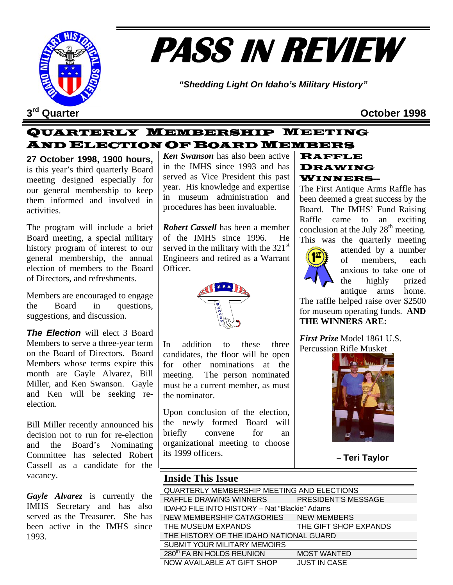

# **PASS IN REVIEW**

*"Shedding Light On Idaho's Military History"* 

**3rd Quarter October 1998**

## QUARTERLY MEMBERSHIP MEETING AND ELECTION OF BOARD MEMBERS

**27 October 1998, 1900 hours,** is this year's third quarterly Board meeting designed especially for our general membership to keep them informed and involved in activities.

The program will include a brief Board meeting, a special military history program of interest to our general membership, the annual election of members to the Board of Directors, and refreshments.

Members are encouraged to engage the Board in questions, suggestions, and discussion.

*The Election* will elect 3 Board Members to serve a three-year term on the Board of Directors. Board Members whose terms expire this month are Gayle Alvarez, Bill Miller, and Ken Swanson. Gayle and Ken will be seeking reelection.

Bill Miller recently announced his decision not to run for re-election and the Board's Nominating Committee has selected Robert Cassell as a candidate for the vacancy.

*Gayle Alvarez* is currently the IMHS Secretary and has also served as the Treasurer. She has been active in the IMHS since 1993.

*Ken Swanson* has also been active in the IMHS since 1993 and has served as Vice President this past year. His knowledge and expertise in museum administration and procedures has been invaluable.

*Robert Cassell* has been a member of the IMHS since 1996. He served in the military with the  $321<sup>st</sup>$ Engineers and retired as a Warrant Officer.



In addition to these three candidates, the floor will be open for other nominations at the meeting. The person nominated must be a current member, as must the nominator.

Upon conclusion of the election, the newly formed Board will briefly convene for an organizational meeting to choose its 1999 officers.

#### RAFFLE DRAWING WINNERS--

The First Antique Arms Raffle has been deemed a great success by the Board. The IMHS' Fund Raising Raffle came to an exciting conclusion at the July  $28<sup>th</sup>$  meeting. This was the quarterly meeting



attended by a number of members, each anxious to take one of the highly prized antique arms home.

The raffle helped raise over \$2500 for museum operating funds. **AND THE WINNERS ARE:** 

*First Prize* Model 1861 U.S. Percussion Rifle Musket



– **Teri Taylor** 

## **Inside This Issue**

| QUARTERLY MEMBERSHIP MEETING AND ELECTIONS           |                       |  |  |  |
|------------------------------------------------------|-----------------------|--|--|--|
| RAFFLE DRAWING WINNERS                               | PRESIDENT'S MESSAGE   |  |  |  |
| <b>IDAHO FILE INTO HISTORY - Nat "Blackie" Adams</b> |                       |  |  |  |
| NEW MEMBERSHIP CATAGORIES                            | <b>NEW MEMBERS</b>    |  |  |  |
| THE MUSEUM EXPANDS                                   | THE GIFT SHOP EXPANDS |  |  |  |
| THE HISTORY OF THE IDAHO NATIONAL GUARD              |                       |  |  |  |
| <b>SUBMIT YOUR MILITARY MEMOIRS</b>                  |                       |  |  |  |
| 280 <sup>th</sup> FA BN HOLDS REUNION                | <b>MOST WANTED</b>    |  |  |  |
| <b>NOW AVAILABLE AT GIFT SHOP</b>                    | <b>JUST IN CASE</b>   |  |  |  |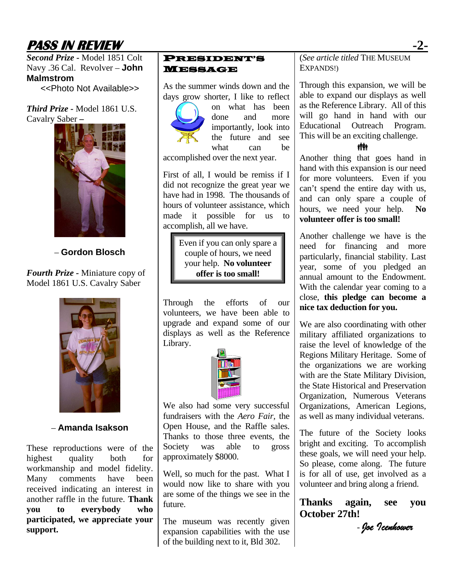# **PASS IN REVIEW -2-**

*Second Prize -* Model 1851 Colt Navy .36 Cal. Revolver – **John Malmstrom** 

<<Photo Not Available>>

*Third Prize -* Model 1861 U.S. Cavalry Saber **–** 



– **Gordon Blosch** 

*Fourth Prize -* Miniature copy of Model 1861 U.S. Cavalry Saber



– **Amanda Isakson** 

These reproductions were of the highest quality both for workmanship and model fidelity. Many comments have been received indicating an interest in another raffle in the future. **Thank you to everybody who participated, we appreciate your support.**

#### PRESIDENT'S MESSAGE

As the summer winds down and the days grow shorter, I like to reflect



on what has been done and more importantly, look into the future and see what can be accomplished over the next year.

First of all, I would be remiss if I did not recognize the great year we have had in 1998. The thousands of hours of volunteer assistance, which made it possible for us to accomplish, all we have.

> Even if you can only spare a couple of hours, we need your help. **No volunteer offer is too small!**

Through the efforts of our volunteers, we have been able to upgrade and expand some of our displays as well as the Reference Library.



We also had some very successful fundraisers with the *Aero Fair,* the Open House, and the Raffle sales. Thanks to those three events, the Society was able to gross approximately \$8000.

Well, so much for the past. What I would now like to share with you are some of the things we see in the future.

The museum was recently given expansion capabilities with the use of the building next to it, Bld 302.

(*See article titled* THE MUSEUM EXPANDS!)

Through this expansion, we will be able to expand our displays as well as the Reference Library. All of this will go hand in hand with our Educational Outreach Program. This will be an exciting challenge.

#### **vivi**

Another thing that goes hand in hand with this expansion is our need for more volunteers. Even if you can't spend the entire day with us, and can only spare a couple of hours, we need your help. **No volunteer offer is too small!**

Another challenge we have is the need for financing and more particularly, financial stability. Last year, some of you pledged an annual amount to the Endowment. With the calendar year coming to a close, **this pledge can become a nice tax deduction for you.**

We are also coordinating with other military affiliated organizations to raise the level of knowledge of the Regions Military Heritage. Some of the organizations we are working with are the State Military Division, the State Historical and Preservation Organization, Numerous Veterans Organizations, American Legions, as well as many individual veterans.

The future of the Society looks bright and exciting. To accomplish these goals, we will need your help. So please, come along. The future is for all of use, get involved as a volunteer and bring along a friend.

**Thanks again, see you October 27th!** 

*- Joe Icenhower*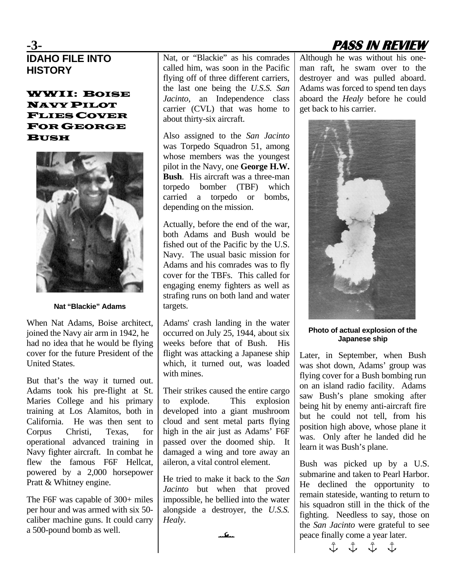# **IDAHO FILE INTO HISTORY**

#### WWII: BOISE NAVY PILOT FLIES COVER FOR GEORGE **BUSH**



**Nat "Blackie" Adams** 

When Nat Adams, Boise architect, joined the Navy air arm in 1942, he had no idea that he would be flying cover for the future President of the United States.

But that's the way it turned out. Adams took his pre-flight at St. Maries College and his primary training at Los Alamitos, both in California. He was then sent to Corpus Christi, Texas, for operational advanced training in Navy fighter aircraft. In combat he flew the famous F6F Hellcat, powered by a 2,000 horsepower Pratt & Whitney engine.

The F6F was capable of 300+ miles per hour and was armed with six 50 caliber machine guns. It could carry a 500-pound bomb as well.

Nat, or "Blackie" as his comrades called him, was soon in the Pacific flying off of three different carriers, the last one being the *U.S.S. San Jacinto*, an Independence class carrier (CVL) that was home to about thirty-six aircraft.

Also assigned to the *San Jacinto* was Torpedo Squadron 51, among whose members was the youngest pilot in the Navy, one **George H.W. Bush**. His aircraft was a three-man torpedo bomber (TBF) which carried a torpedo or bombs, depending on the mission.

Actually, before the end of the war, both Adams and Bush would be fished out of the Pacific by the U.S. Navy. The usual basic mission for Adams and his comrades was to fly cover for the TBFs. This called for engaging enemy fighters as well as strafing runs on both land and water targets.

Adams' crash landing in the water occurred on July 25, 1944, about six weeks before that of Bush. His flight was attacking a Japanese ship which, it turned out, was loaded with mines.

Their strikes caused the entire cargo to explode. This explosion developed into a giant mushroom cloud and sent metal parts flying high in the air just as Adams' F6F passed over the doomed ship. It damaged a wing and tore away an aileron, a vital control element.

He tried to make it back to the *San Jacinto* but when that proved impossible, he bellied into the water alongside a destroyer, the *U.S.S. Healy*.

l

**-3- PASS IN REVIEW** 

Although he was without his oneman raft, he swam over to the destroyer and was pulled aboard. Adams was forced to spend ten days aboard the *Healy* before he could get back to his carrier.



**Photo of actual explosion of the Japanese ship** 

Later, in September, when Bush was shot down, Adams' group was flying cover for a Bush bombing run on an island radio facility. Adams saw Bush's plane smoking after being hit by enemy anti-aircraft fire but he could not tell, from his position high above, whose plane it was. Only after he landed did he learn it was Bush's plane.

Bush was picked up by a U.S. submarine and taken to Pearl Harbor. He declined the opportunity to remain stateside, wanting to return to his squadron still in the thick of the fighting. Needless to say, those on the *San Jacinto* were grateful to see peace finally come a year later.

 $\begin{array}{ccccccc}\n\updownarrow & & \updownarrow & & \updownarrow & & \updownarrow\n\end{array}$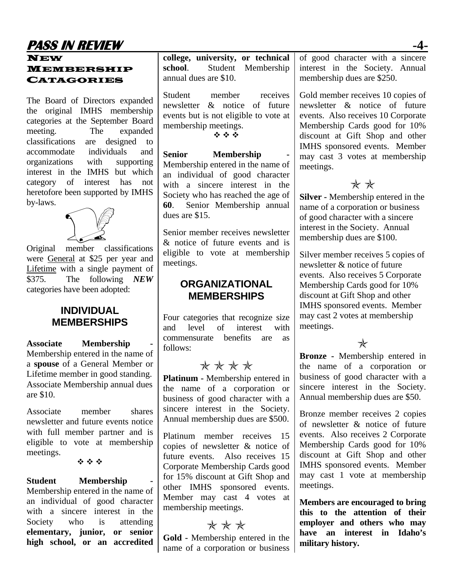# **PASS IN REVIEW -4-**

#### NEW MEMBERSHIP CATAGORIES

The Board of Directors expanded the original IMHS membership categories at the September Board meeting. The expanded classifications are designed to accommodate individuals and organizations with supporting interest in the IMHS but which category of interest has not heretofore been supported by IMHS by-laws.



Original member classifications were General at \$25 per year and Lifetime with a single payment of \$375. The following *NEW* categories have been adopted:

## **INDIVIDUAL MEMBERSHIPS**

Associate **Membership** Membership entered in the name of a **spouse** of a General Member or Lifetime member in good standing. Associate Membership annual dues are \$10.

Associate member shares newsletter and future events notice with full member partner and is eligible to vote at membership meetings.

#### \*\*\*

#### **Student** Membership

Membership entered in the name of an individual of good character with a sincere interest in the Society who is attending **elementary, junior, or senior high school, or an accredited** 

**college, university, or technical school**. Student Membership annual dues are \$10.

Student member receives newsletter & notice of future events but is not eligible to vote at membership meetings.

经合金

**Senior** Membership Membership entered in the name of an individual of good character with a sincere interest in the Society who has reached the age of **60**. Senior Membership annual dues are \$15.

Senior member receives newsletter & notice of future events and is eligible to vote at membership meetings.

## **ORGANIZATIONAL MEMBERSHIPS**

Four categories that recognize size and level of interest with commensurate benefits are as follows:

# \* \* \* \*

**Platinum -** Membership entered in the name of a corporation or business of good character with a sincere interest in the Society. Annual membership dues are \$500.

Platinum member receives 15 copies of newsletter & notice of future events. Also receives 15 Corporate Membership Cards good for 15% discount at Gift Shop and other IMHS sponsored events. Member may cast 4 votes at membership meetings.

## $* * *$

**Gold -** Membership entered in the name of a corporation or business of good character with a sincere interest in the Society. Annual membership dues are \$250.

Gold member receives 10 copies of newsletter & notice of future events. Also receives 10 Corporate Membership Cards good for 10% discount at Gift Shop and other IMHS sponsored events. Member may cast 3 votes at membership meetings.

## $**$

**Silver -** Membership entered in the name of a corporation or business of good character with a sincere interest in the Society. Annual membership dues are \$100.

Silver member receives 5 copies of newsletter & notice of future events. Also receives 5 Corporate Membership Cards good for 10% discount at Gift Shop and other IMHS sponsored events. Member may cast 2 votes at membership meetings.

 $\ast$ 

**Bronze -** Membership entered in the name of a corporation or business of good character with a sincere interest in the Society. Annual membership dues are \$50.

Bronze member receives 2 copies of newsletter & notice of future events. Also receives 2 Corporate Membership Cards good for 10% discount at Gift Shop and other IMHS sponsored events. Member may cast 1 vote at membership meetings.

**Members are encouraged to bring this to the attention of their employer and others who may have an interest in Idaho's military history.**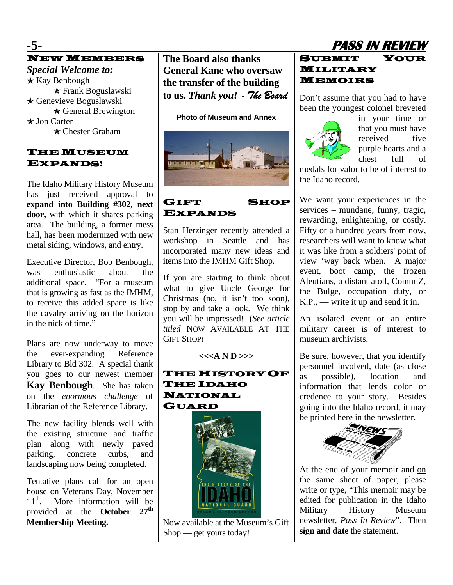## **-5- PASS IN REVIEW** NEW MEMBERS

*Special Welcome to:* 2 Kay Benbough  $*$  Frank Boguslawski  $\star$  Genevieve Boguslawski **★ General Brewington** \* Jon Carter **★ Chester Graham** 

#### THE MUSEUM EXPANDS!

The Idaho Military History Museum has just received approval to **expand into Building #302, next door,** with which it shares parking area. The building, a former mess hall, has been modernized with new metal siding, windows, and entry.

Executive Director, Bob Benbough, was enthusiastic about the additional space. "For a museum that is growing as fast as the IMHM, to receive this added space is like the cavalry arriving on the horizon in the nick of time."

Plans are now underway to move the ever-expanding Reference Library to Bld 302. A special thank you goes to our newest member **Kay Benbough**. She has taken on the *enormous challenge* of Librarian of the Reference Library.

The new facility blends well with the existing structure and traffic plan along with newly paved parking, concrete curbs, and landscaping now being completed.

Tentative plans call for an open house on Veterans Day, November<br>11<sup>th</sup> More information will be More information will be provided at the **October 27th Membership Meeting.** 

**The Board also thanks General Kane who oversaw the transfer of the building to us.** *Thank you!* - *The Board*

**Photo of Museum and Annex** 



### GIFT SHOP EXPANDS

Stan Herzinger recently attended a workshop in Seattle and has incorporated many new ideas and items into the IMHM Gift Shop.

If you are starting to think about what to give Uncle George for Christmas (no, it isn't too soon), stop by and take a look. We think you will be impressed! (*See article titled* NOW AVAILABLE AT THE GIFT SHOP)

**<<<A N D >>>** 

## THE HISTORY OF THE IDAHO NATIONAL GUARD



Now available at the Museum's Gift Shop — get yours today!

## SUBMIT YOUR MILITARY MEMOIRS

Don't assume that you had to have been the youngest colonel breveted



in your time or that you must have received five purple hearts and a chest full of

medals for valor to be of interest to the Idaho record.

We want your experiences in the services – mundane, funny, tragic, rewarding, enlightening, or costly. Fifty or a hundred years from now, researchers will want to know what it was like from a soldiers' point of view 'way back when. A major event, boot camp, the frozen Aleutians, a distant atoll, Comm Z, the Bulge, occupation duty, or  $K.P.,$  — write it up and send it in.

An isolated event or an entire military career is of interest to museum archivists.

Be sure, however, that you identify personnel involved, date (as close as possible), location and information that lends color or credence to your story. Besides going into the Idaho record, it may be printed here in the newsletter.



At the end of your memoir and on the same sheet of paper, please write or type, "This memoir may be edited for publication in the Idaho Military History Museum newsletter, *Pass In Review*". Then **sign and date** the statement.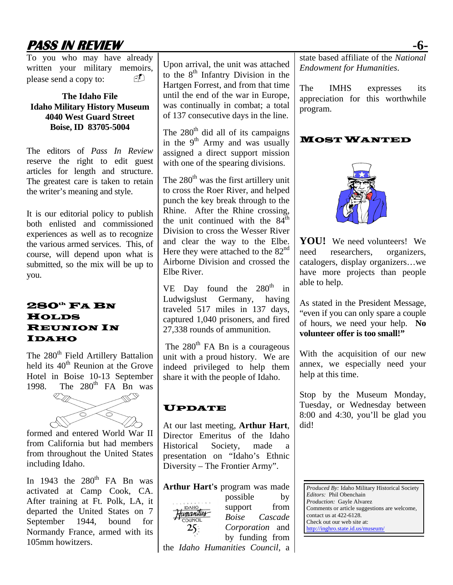# **PASS IN REVIEW -6-**

To you who may have already written your military memoirs, please send a copy to:

#### **The Idaho File Idaho Military History Museum 4040 West Guard Street Boise, ID 83705-5004**

The editors of *Pass In Review*  reserve the right to edit guest articles for length and structure. The greatest care is taken to retain the writer's meaning and style.

It is our editorial policy to publish both enlisted and commissioned experiences as well as to recognize the various armed services. This, of course, will depend upon what is submitted, so the mix will be up to you.

#### $280^{\text{th}}$  FA BN **HOLDS** REUNION IN IDAHO

The 280<sup>th</sup> Field Artillery Battalion held its  $40<sup>th</sup>$  Reunion at the Grove Hotel in Boise 10-13 September 1998. The  $280<sup>th</sup>$  FA Bn was



formed and entered World War II from California but had members from throughout the United States including Idaho.

In 1943 the  $280<sup>th</sup>$  FA Bn was activated at Camp Cook, CA. After training at Ft. Polk, LA, it departed the United States on 7 September 1944, bound for Normandy France, armed with its 105mm howitzers.

Upon arrival, the unit was attached to the  $8<sup>th</sup>$  Infantry Division in the Hartgen Forrest, and from that time until the end of the war in Europe, was continually in combat; a total of 137 consecutive days in the line.

The  $280<sup>th</sup>$  did all of its campaigns in the  $9<sup>th</sup>$  Army and was usually assigned a direct support mission with one of the spearing divisions.

The  $280<sup>th</sup>$  was the first artillery unit to cross the Roer River, and helped punch the key break through to the Rhine. After the Rhine crossing, the unit continued with the  $84<sup>th</sup>$ Division to cross the Wesser River and clear the way to the Elbe. Here they were attached to the  $82<sup>nd</sup>$ Airborne Division and crossed the Elbe River.

VE Day found the  $280<sup>th</sup>$  in Ludwigslust Germany, having traveled 517 miles in 137 days, captured 1,040 prisoners, and fired 27,338 rounds of ammunition.

The  $280<sup>th</sup>$  FA Bn is a courageous unit with a proud history. We are indeed privileged to help them share it with the people of Idaho.

## UPDATE

At our last meeting, **Arthur Hart**, Director Emeritus of the Idaho Historical Society, made a presentation on "Idaho's Ethnic Diversity – The Frontier Army".

Arthur Hart's program was made possible by Humanities support from *Boise Cascade*  **OUNCIL** *Corporation* and 25: by funding from the *Idaho Humanities Council*, a state based affiliate of the *National Endowment for Humanities*.

The IMHS expresses its appreciation for this worthwhile program.

## MOST WANTED



have more projects than people able to help. **YOU!** We need volunteers! We need researchers, organizers, catalogers, display organizers…we

of hours, we need your help. No **olunteer offer is too small!" v** As stated in the President Message, "even if you can only spare a couple

annex, we especially need your help at this time. With the acquisition of our new

 $8:00$  and  $4:30$ , you'll be glad you did! Stop by the Museum Monday, Tuesday, or Wednesday between

*Produced By:* Idaho Military Historical Society *Editors:* Phil Obenchain *Production:* Gayle Alvarez Comments or article suggestions are welcome, contact us at 422-6128. Check out our web site at: http://inghro.state.id.us/museum/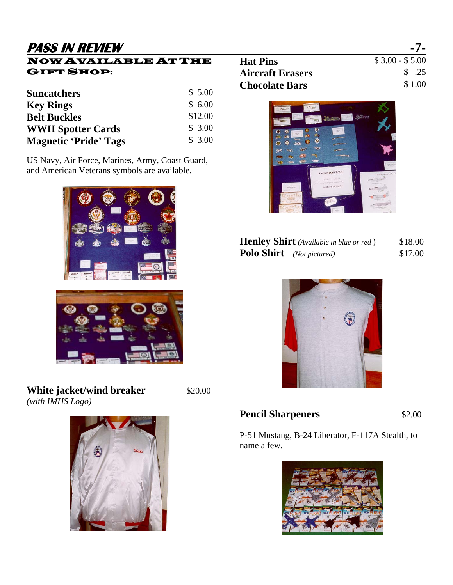# **PASS IN REVIEW -7-**

## NOW AVAILABLE AT THE GIFT SHOP:

| <b>Suncatchers</b>           | \$5.00  |
|------------------------------|---------|
| <b>Key Rings</b>             | \$6.00  |
| <b>Belt Buckles</b>          | \$12.00 |
| <b>WWII Spotter Cards</b>    | \$3.00  |
| <b>Magnetic 'Pride' Tags</b> | \$3.00  |

US Navy, Air Force, Marines, Army, Coast Guard, and American Veterans symbols are available.





**White jacket/wind breaker** \$20.00 *(with IMHS Logo)* 



| <b>Hat Pins</b>         | $$3.00 - $5.00$ |
|-------------------------|-----------------|
| <b>Aircraft Erasers</b> | \$ .25          |
| <b>Chocolate Bars</b>   | \$1.00          |
|                         |                 |



|                                  | <b>Henley Shirt</b> (Available in blue or red) | \$18.00 |
|----------------------------------|------------------------------------------------|---------|
| <b>Polo Shirt</b> (Not pictured) |                                                | \$17.00 |



## **Pencil Sharpeners** \$2.00

P-51 Mustang, B-24 Liberator, F-117A Stealth, to name a few.